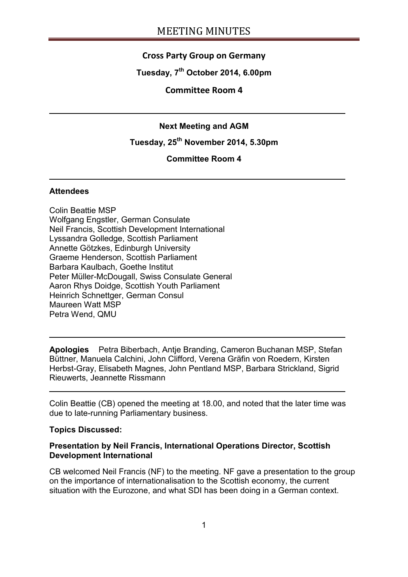## **Cross Party Group on Germany**

**Tuesday, 7th October 2014, 6.00pm**

### **Committee Room 4**

### **Next Meeting and AGM**

# **Tuesday, 25th November 2014, 5.30pm**

### **Committee Room 4**

#### **Attendees**

Colin Beattie MSP Wolfgang Engstler, German Consulate Neil Francis, Scottish Development International Lyssandra Golledge, Scottish Parliament Annette Götzkes, Edinburgh University Graeme Henderson, Scottish Parliament Barbara Kaulbach, Goethe Institut Peter Müller-McDougall, Swiss Consulate General Aaron Rhys Doidge, Scottish Youth Parliament Heinrich Schnettger, German Consul Maureen Watt MSP Petra Wend, QMU

**Apologies** Petra Biberbach, Antje Branding, Cameron Buchanan MSP, Stefan Büttner, Manuela Calchini, John Clifford, Verena Gräfin von Roedern, Kirsten Herbst-Gray, Elisabeth Magnes, John Pentland MSP, Barbara Strickland, Sigrid Rieuwerts, Jeannette Rissmann

Colin Beattie (CB) opened the meeting at 18.00, and noted that the later time was due to late-running Parliamentary business.

#### **Topics Discussed:**

#### **Presentation by Neil Francis, International Operations Director, Scottish Development International**

CB welcomed Neil Francis (NF) to the meeting. NF gave a presentation to the group on the importance of internationalisation to the Scottish economy, the current situation with the Eurozone, and what SDI has been doing in a German context.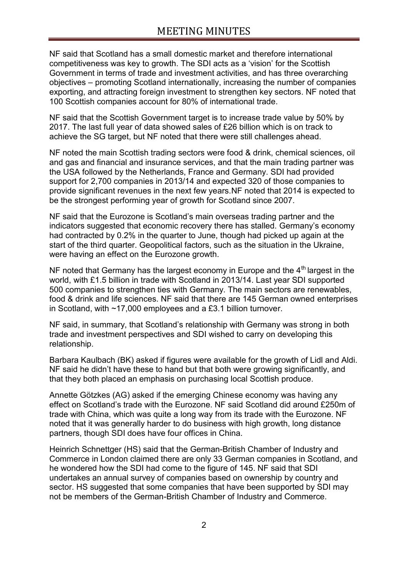NF said that Scotland has a small domestic market and therefore international competitiveness was key to growth. The SDI acts as a 'vision' for the Scottish Government in terms of trade and investment activities, and has three overarching objectives – promoting Scotland internationally, increasing the number of companies exporting, and attracting foreign investment to strengthen key sectors. NF noted that 100 Scottish companies account for 80% of international trade.

NF said that the Scottish Government target is to increase trade value by 50% by 2017. The last full year of data showed sales of £26 billion which is on track to achieve the SG target, but NF noted that there were still challenges ahead.

NF noted the main Scottish trading sectors were food & drink, chemical sciences, oil and gas and financial and insurance services, and that the main trading partner was the USA followed by the Netherlands, France and Germany. SDI had provided support for 2,700 companies in 2013/14 and expected 320 of those companies to provide significant revenues in the next few years.NF noted that 2014 is expected to be the strongest performing year of growth for Scotland since 2007.

NF said that the Eurozone is Scotland's main overseas trading partner and the indicators suggested that economic recovery there has stalled. Germany's economy had contracted by 0.2% in the quarter to June, though had picked up again at the start of the third quarter. Geopolitical factors, such as the situation in the Ukraine, were having an effect on the Eurozone growth.

NF noted that Germany has the largest economy in Europe and the  $4<sup>th</sup>$  largest in the world, with £1.5 billion in trade with Scotland in 2013/14. Last year SDI supported 500 companies to strengthen ties with Germany. The main sectors are renewables, food & drink and life sciences. NF said that there are 145 German owned enterprises in Scotland, with ~17,000 employees and a £3.1 billion turnover.

NF said, in summary, that Scotland's relationship with Germany was strong in both trade and investment perspectives and SDI wished to carry on developing this relationship.

Barbara Kaulbach (BK) asked if figures were available for the growth of Lidl and Aldi. NF said he didn't have these to hand but that both were growing significantly, and that they both placed an emphasis on purchasing local Scottish produce.

Annette Götzkes (AG) asked if the emerging Chinese economy was having any effect on Scotland's trade with the Eurozone. NF said Scotland did around £250m of trade with China, which was quite a long way from its trade with the Eurozone. NF noted that it was generally harder to do business with high growth, long distance partners, though SDI does have four offices in China.

Heinrich Schnettger (HS) said that the German-British Chamber of Industry and Commerce in London claimed there are only 33 German companies in Scotland, and he wondered how the SDI had come to the figure of 145. NF said that SDI undertakes an annual survey of companies based on ownership by country and sector. HS suggested that some companies that have been supported by SDI may not be members of the German-British Chamber of Industry and Commerce.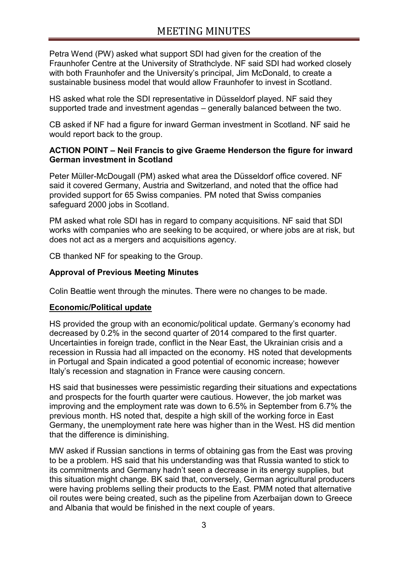Petra Wend (PW) asked what support SDI had given for the creation of the Fraunhofer Centre at the University of Strathclyde. NF said SDI had worked closely with both Fraunhofer and the University's principal, Jim McDonald, to create a sustainable business model that would allow Fraunhofer to invest in Scotland.

HS asked what role the SDI representative in Düsseldorf played. NF said they supported trade and investment agendas – generally balanced between the two.

CB asked if NF had a figure for inward German investment in Scotland. NF said he would report back to the group.

### **ACTION POINT – Neil Francis to give Graeme Henderson the figure for inward German investment in Scotland**

Peter Müller-McDougall (PM) asked what area the Düsseldorf office covered. NF said it covered Germany, Austria and Switzerland, and noted that the office had provided support for 65 Swiss companies. PM noted that Swiss companies safeguard 2000 jobs in Scotland.

PM asked what role SDI has in regard to company acquisitions. NF said that SDI works with companies who are seeking to be acquired, or where jobs are at risk, but does not act as a mergers and acquisitions agency.

CB thanked NF for speaking to the Group.

### **Approval of Previous Meeting Minutes**

Colin Beattie went through the minutes. There were no changes to be made.

#### **Economic/Political update**

HS provided the group with an economic/political update. Germany's economy had decreased by 0.2% in the second quarter of 2014 compared to the first quarter. Uncertainties in foreign trade, conflict in the Near East, the Ukrainian crisis and a recession in Russia had all impacted on the economy. HS noted that developments in Portugal and Spain indicated a good potential of economic increase; however Italy's recession and stagnation in France were causing concern.

HS said that businesses were pessimistic regarding their situations and expectations and prospects for the fourth quarter were cautious. However, the job market was improving and the employment rate was down to 6.5% in September from 6.7% the previous month. HS noted that, despite a high skill of the working force in East Germany, the unemployment rate here was higher than in the West. HS did mention that the difference is diminishing.

MW asked if Russian sanctions in terms of obtaining gas from the East was proving to be a problem. HS said that his understanding was that Russia wanted to stick to its commitments and Germany hadn't seen a decrease in its energy supplies, but this situation might change. BK said that, conversely, German agricultural producers were having problems selling their products to the East. PMM noted that alternative oil routes were being created, such as the pipeline from Azerbaijan down to Greece and Albania that would be finished in the next couple of years.